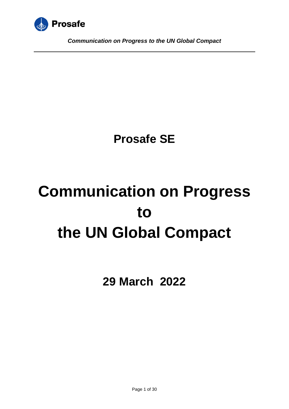

## **Prosafe SE**

# **Communication on Progress to the UN Global Compact**

**29 March 2022**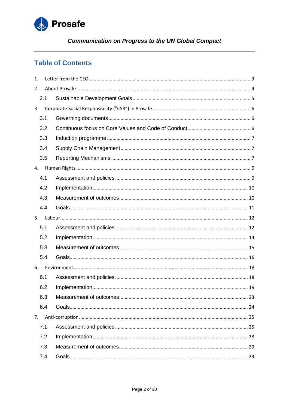

## **Table of Contents**

| 1.  |     |  |
|-----|-----|--|
| 2.  |     |  |
|     | 2.1 |  |
| 3.  |     |  |
|     | 3.1 |  |
|     | 3.2 |  |
|     | 3.3 |  |
|     | 3.4 |  |
|     | 3.5 |  |
| 4.  |     |  |
|     | 4.1 |  |
|     | 4.2 |  |
|     | 4.3 |  |
|     | 4.4 |  |
| 5.  |     |  |
|     | 5.1 |  |
|     | 5.2 |  |
|     | 5.3 |  |
|     | 5.4 |  |
| 6.  |     |  |
|     | 6.1 |  |
|     | 6.2 |  |
|     | 6.3 |  |
|     | 6.4 |  |
| 7.  |     |  |
| 7.1 |     |  |
|     | 7.2 |  |
|     | 7.3 |  |
|     | 7.4 |  |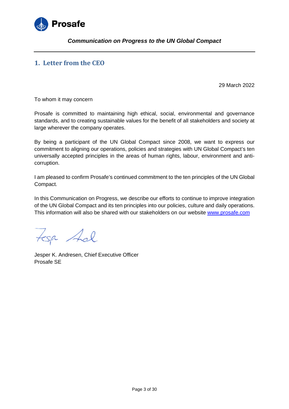

## <span id="page-2-0"></span>**1. Letter from the CEO**

29 March 2022

To whom it may concern

Prosafe is committed to maintaining high ethical, social, environmental and governance standards, and to creating sustainable values for the benefit of all stakeholders and society at large wherever the company operates.

By being a participant of the UN Global Compact since 2008, we want to express our commitment to aligning our operations, policies and strategies with UN Global Compact's ten universally accepted principles in the areas of human rights, labour, environment and anticorruption.

I am pleased to confirm Prosafe's continued commitment to the ten principles of the UN Global Compact.

In this Communication on Progress, we describe our efforts to continue to improve integration of the UN Global Compact and its ten principles into our policies, culture and daily operations. This information will also be shared with our stakeholders on our website [www.prosafe.com](http://www.prosafe.com/)

tesp Adl

Jesper K. Andresen, Chief Executive Officer Prosafe SE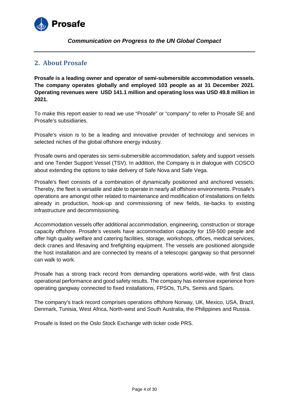

## <span id="page-3-0"></span>**2. About Prosafe**

**Prosafe is a leading owner and operator of semi-submersible accommodation vessels. The company operates globally and employed 103 people as at 31 December 2021. Operating revenues were USD 141.1 million and operating loss was USD 49.8 million in 2021.**

To make this report easier to read we use "Prosafe" or "company" to refer to Prosafe SE and Prosafe's subsidiaries.

Prosafe's vision is to be a leading and innovative provider of technology and services in selected niches of the global offshore energy industry.

Prosafe owns and operates six semi-submersible accommodation, safety and support vessels and one Tender Support Vessel (TSV). In addition, the Company is in dialogue with COSCO about extending the options to take delivery of Safe Nova and Safe Vega.

Prosafe's fleet consists of a combination of dynamically positioned and anchored vessels. Thereby, the fleet is versatile and able to operate in nearly all offshore environments. Prosafe's operations are amongst other related to maintenance and modification of installations on fields already in production, hook-up and commissioning of new fields, tie-backs to existing infrastructure and decommissioning.

Accommodation vessels offer additional accommodation, engineering, construction or storage capacity offshore. Prosafe's vessels have accommodation capacity for 159-500 people and offer high quality welfare and catering facilities, storage, workshops, offices, medical services, deck cranes and lifesaving and firefighting equipment. The vessels are positioned alongside the host installation and are connected by means of a telescopic gangway so that personnel can walk to work.

Prosafe has a strong track record from demanding operations world-wide, with first class operational performance and good safety results. The company has extensive experience from operating gangway connected to fixed installations, FPSOs, TLPs, Semis and Spars.

The company's track record comprises operations offshore Norway, UK, Mexico, USA, Brazil, Denmark, Tunisia, West Africa, North-west and South Australia, the Philippines and Russia.

Prosafe is listed on the Oslo Stock Exchange with ticker code PRS.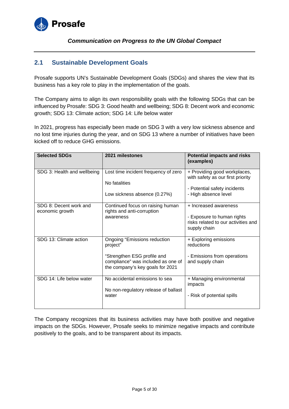

## <span id="page-4-0"></span>**2.1 Sustainable Development Goals**

Prosafe supports UN's Sustainable Development Goals (SDGs) and shares the view that its business has a key role to play in the implementation of the goals.

The Company aims to align its own responsibility goals with the following SDGs that can be influenced by Prosafe: SDG 3: Good health and wellbeing; SDG 8: Decent work and economic growth; SDG 13: Climate action; SDG 14: Life below water

In 2021, progress has especially been made on SDG 3 with a very low sickness absence and no lost time injuries during the year, and on SDG 13 where a number of initiatives have been kicked off to reduce GHG emissions.

| <b>Selected SDGs</b>                      | 2021 milestones                                                                                                                                          | <b>Potential impacts and risks</b><br>(examples)                                                                          |
|-------------------------------------------|----------------------------------------------------------------------------------------------------------------------------------------------------------|---------------------------------------------------------------------------------------------------------------------------|
| SDG 3: Health and wellbeing               | Lost time incident frequency of zero<br>No fatalities<br>Low sickness absence (0.27%)                                                                    | + Providing good workplaces,<br>with safety as our first priority<br>- Potential safety incidents<br>- High absence level |
| SDG 8: Decent work and<br>economic growth | Continued focus on raising human<br>rights and anti-corruption<br>awareness                                                                              | + Increased awareness<br>- Exposure to human rights<br>risks related to our activities and<br>supply chain                |
| SDG 13: Climate action                    | <b>Ongoing "Emissions reduction</b><br>project"<br>"Strengthen ESG profile and<br>compliance" was included as one of<br>the company's key goals for 2021 | + Exploring emissions<br>reductions<br>- Emissions from operations<br>and supply chain                                    |
| SDG 14: Life below water                  | No accidental emissions to sea<br>No non-regulatory release of ballast<br>water                                                                          | + Managing environmental<br>impacts<br>- Risk of potential spills                                                         |

The Company recognizes that its business activities may have both positive and negative impacts on the SDGs. However, Prosafe seeks to minimize negative impacts and contribute positively to the goals, and to be transparent about its impacts.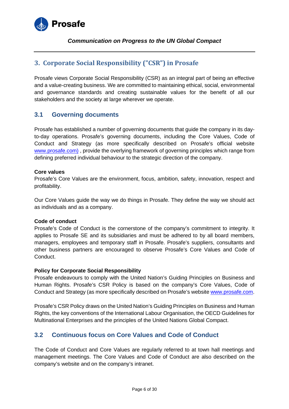

## <span id="page-5-0"></span>**3. Corporate Social Responsibility ("CSR") in Prosafe**

Prosafe views Corporate Social Responsibility (CSR) as an integral part of being an effective and a value-creating business. We are committed to maintaining ethical, social, environmental and governance standards and creating sustainable values for the benefit of all our stakeholders and the society at large wherever we operate.

## <span id="page-5-1"></span>**3.1 Governing documents**

Prosafe has established a number of governing documents that guide the company in its dayto-day operations. Prosafe's governing documents, including the Core Values, Code of Conduct and Strategy (as more specifically described on Prosafe's official website [www.prosafe.com\)](http://www.prosafe.com/), provide the overlying framework of governing principles which range from defining preferred individual behaviour to the strategic direction of the company.

## **Core values**

Prosafe's Core Values are the environment, focus, ambition, safety, innovation, respect and profitability.

Our Core Values guide the way we do things in Prosafe. They define the way we should act as individuals and as a company.

## **Code of conduct**

Prosafe's Code of Conduct is the cornerstone of the company's commitment to integrity. It applies to Prosafe SE and its subsidiaries and must be adhered to by all board members, managers, employees and temporary staff in Prosafe. Prosafe's suppliers, consultants and other business partners are encouraged to observe Prosafe's Core Values and Code of Conduct.

## **Policy for Corporate Social Responsibility**

Prosafe endeavours to comply with the United Nation's Guiding Principles on Business and Human Rights. Prosafe's CSR Policy is based on the company's Core Values, Code of Conduct and Strategy (as more specifically described on Prosafe's website [www.prosafe.com.](http://www.prosafe.com/)

Prosafe's CSR Policy draws on the United Nation's Guiding Principles on Business and Human Rights, the key conventions of the International Labour Organisation, the OECD Guidelines for Multinational Enterprises and the principles of the United Nations Global Compact.

## <span id="page-5-2"></span>**3.2 Continuous focus on Core Values and Code of Conduct**

The Code of Conduct and Core Values are regularly referred to at town hall meetings and management meetings. The Core Values and Code of Conduct are also described on the company's website and on the company's intranet.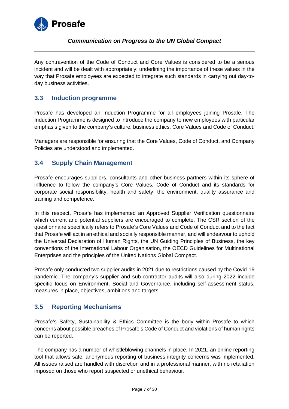

Any contravention of the Code of Conduct and Core Values is considered to be a serious incident and will be dealt with appropriately; underlining the importance of these values in the way that Prosafe employees are expected to integrate such standards in carrying out day-today business activities.

## <span id="page-6-0"></span>**3.3 Induction programme**

Prosafe has developed an Induction Programme for all employees joining Prosafe. The Induction Programme is designed to introduce the company to new employees with particular emphasis given to the company's culture, business ethics, Core Values and Code of Conduct.

Managers are responsible for ensuring that the Core Values, Code of Conduct, and Company Policies are understood and implemented.

## <span id="page-6-1"></span>**3.4 Supply Chain Management**

Prosafe encourages suppliers, consultants and other business partners within its sphere of influence to follow the company's Core Values, Code of Conduct and its standards for corporate social responsibility, health and safety, the environment, quality assurance and training and competence.

In this respect, Prosafe has implemented an Approved Supplier Verification questionnaire which current and potential suppliers are encouraged to complete. The CSR section of the questionnaire specifically refers to Prosafe's Core Values and Code of Conduct and to the fact that Prosafe will act in an ethical and socially responsible manner, and will endeavour to uphold the Universal Declaration of Human Rights, the UN Guiding Principles of Business, the key conventions of the International Labour Organisation, the OECD Guidelines for Multinational Enterprises and the principles of the United Nations Global Compact.

Prosafe only conducted two supplier audits in 2021 due to restrictions caused by the Covid-19 pandemic. The company's supplier and sub-contractor audits will also during 2022 include specific focus on Environment, Social and Governance, including self-assessment status, measures in place, objectives, ambitions and targets.

## <span id="page-6-2"></span>**3.5 Reporting Mechanisms**

Prosafe's Safety, Sustainability & Ethics Committee is the body within Prosafe to which concerns about possible breaches of Prosafe's Code of Conduct and violations of human rights can be reported.

The company has a number of whistleblowing channels in place. In 2021, an online reporting tool that allows safe, anonymous reporting of business integrity concerns was implemented. All issues raised are handled with discretion and in a professional manner, with no retaliation imposed on those who report suspected or unethical behaviour.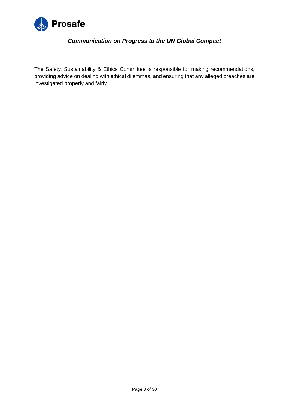

The Safety, Sustainability & Ethics Committee is responsible for making recommendations, providing advice on dealing with ethical dilemmas, and ensuring that any alleged breaches are investigated properly and fairly.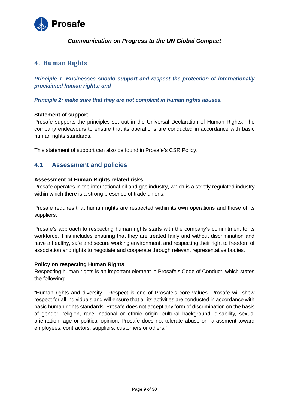

## <span id="page-8-0"></span>**4. Human Rights**

*Principle 1: Businesses should support and respect the protection of internationally proclaimed human rights; and*

*Principle 2: make sure that they are not complicit in human rights abuses.* 

## **Statement of support**

Prosafe supports the principles set out in the Universal Declaration of Human Rights. The company endeavours to ensure that its operations are conducted in accordance with basic human rights standards.

This statement of support can also be found in Prosafe's CSR Policy.

## <span id="page-8-1"></span>**4.1 Assessment and policies**

## **Assessment of Human Rights related risks**

Prosafe operates in the international oil and gas industry, which is a strictly regulated industry within which there is a strong presence of trade unions.

Prosafe requires that human rights are respected within its own operations and those of its suppliers.

Prosafe's approach to respecting human rights starts with the company's commitment to its workforce. This includes ensuring that they are treated fairly and without discrimination and have a healthy, safe and secure working environment, and respecting their right to freedom of association and rights to negotiate and cooperate through relevant representative bodies.

## **Policy on respecting Human Rights**

Respecting human rights is an important element in Prosafe's Code of Conduct, which states the following:

"Human rights and diversity - Respect is one of Prosafe's core values. Prosafe will show respect for all individuals and will ensure that all its activities are conducted in accordance with basic human rights standards. Prosafe does not accept any form of discrimination on the basis of gender, religion, race, national or ethnic origin, cultural background, disability, sexual orientation, age or political opinion. Prosafe does not tolerate abuse or harassment toward employees, contractors, suppliers, customers or others."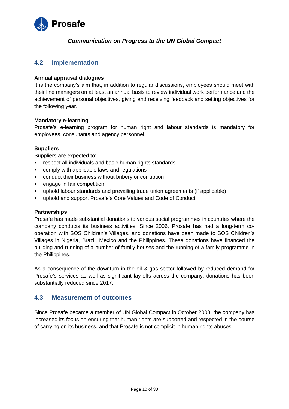

## <span id="page-9-0"></span>**4.2 Implementation**

## **Annual appraisal dialogues**

It is the company's aim that, in addition to regular discussions, employees should meet with their line managers on at least an annual basis to review individual work performance and the achievement of personal objectives, giving and receiving feedback and setting objectives for the following year.

#### **Mandatory e-learning**

Prosafe's e-learning program for human right and labour standards is mandatory for employees, consultants and agency personnel.

## **Suppliers**

Suppliers are expected to:

- respect all individuals and basic human rights standards
- comply with applicable laws and regulations
- conduct their business without bribery or corruption
- engage in fair competition
- uphold labour standards and prevailing trade union agreements (if applicable)
- uphold and support Prosafe's Core Values and Code of Conduct

## **Partnerships**

Prosafe has made substantial donations to various social programmes in countries where the company conducts its business activities. Since 2006, Prosafe has had a long-term cooperation with SOS Children's Villages, and donations have been made to SOS Children's Villages in Nigeria, Brazil, Mexico and the Philippines. These donations have financed the building and running of a number of family houses and the running of a family programme in the Philippines.

As a consequence of the downturn in the oil & gas sector followed by reduced demand for Prosafe's services as well as significant lay-offs across the company, donations has been substantially reduced since 2017.

## <span id="page-9-1"></span>**4.3 Measurement of outcomes**

Since Prosafe became a member of UN Global Compact in October 2008, the company has increased its focus on ensuring that human rights are supported and respected in the course of carrying on its business, and that Prosafe is not complicit in human rights abuses.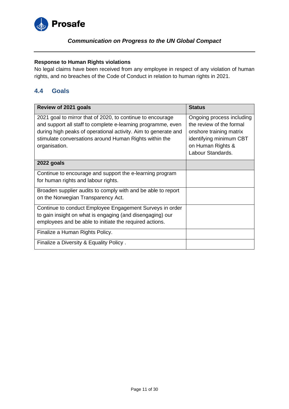

## **Response to Human Rights violations**

No legal claims have been received from any employee in respect of any violation of human rights, and no breaches of the Code of Conduct in relation to human rights in 2021.

## <span id="page-10-0"></span>**4.4 Goals**

| Review of 2021 goals                                                                                                                                                                                                                                                    | <b>Status</b>                                                                                                                                         |
|-------------------------------------------------------------------------------------------------------------------------------------------------------------------------------------------------------------------------------------------------------------------------|-------------------------------------------------------------------------------------------------------------------------------------------------------|
| 2021 goal to mirror that of 2020, to continue to encourage<br>and support all staff to complete e-learning programme, even<br>during high peaks of operational activity. Aim to generate and<br>stimulate conversations around Human Rights within the<br>organisation. | Ongoing process including<br>the review of the formal<br>onshore training matrix<br>identifying minimum CBT<br>on Human Rights &<br>Labour Standards. |
| 2022 goals                                                                                                                                                                                                                                                              |                                                                                                                                                       |
| Continue to encourage and support the e-learning program<br>for human rights and labour rights.                                                                                                                                                                         |                                                                                                                                                       |
| Broaden supplier audits to comply with and be able to report<br>on the Norwegian Transparency Act.                                                                                                                                                                      |                                                                                                                                                       |
| Continue to conduct Employee Engagement Surveys in order<br>to gain insight on what is engaging (and disengaging) our<br>employees and be able to initiate the required actions.                                                                                        |                                                                                                                                                       |
| Finalize a Human Rights Policy.                                                                                                                                                                                                                                         |                                                                                                                                                       |
| Finalize a Diversity & Equality Policy.                                                                                                                                                                                                                                 |                                                                                                                                                       |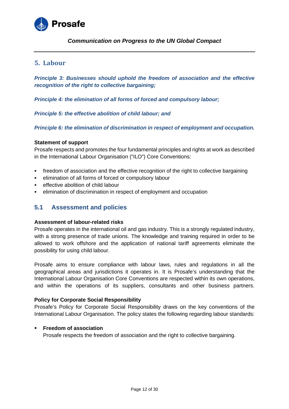

## <span id="page-11-0"></span>**5. Labour**

*Principle 3: Businesses should uphold the freedom of association and the effective recognition of the right to collective bargaining;*

*Principle 4: the elimination of all forms of forced and compulsory labour;* 

*Principle 5: the effective abolition of child labour; and* 

*Principle 6: the elimination of discrimination in respect of employment and occupation.* 

#### **Statement of support**

Prosafe respects and promotes the four fundamental principles and rights at work as described in the International Labour Organisation ("ILO") Core Conventions:

- freedom of association and the effective recognition of the right to collective bargaining
- elimination of all forms of forced or compulsory labour
- **EXECTED** effective abolition of child labour
- elimination of discrimination in respect of employment and occupation

## <span id="page-11-1"></span>**5.1 Assessment and policies**

#### **Assessment of labour-related risks**

Prosafe operates in the international oil and gas industry. This is a strongly regulated industry, with a strong presence of trade unions. The knowledge and training required in order to be allowed to work offshore and the application of national tariff agreements eliminate the possibility for using child labour.

Prosafe aims to ensure compliance with labour laws, rules and regulations in all the geographical areas and jurisdictions it operates in. It is Prosafe's understanding that the International Labour Organisation Core Conventions are respected within its own operations, and within the operations of its suppliers, consultants and other business partners.

#### **Policy for Corporate Social Responsibility**

Prosafe's Policy for Corporate Social Responsibility draws on the key conventions of the International Labour Organisation. The policy states the following regarding labour standards:

#### **Freedom of association**

Prosafe respects the freedom of association and the right to collective bargaining.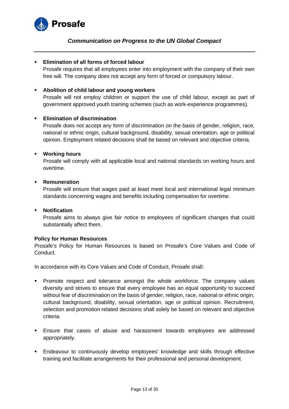

#### **Elimination of all forms of forced labour**

Prosafe requires that all employees enter into employment with the company of their own free will. The company does not accept any form of forced or compulsory labour.

#### **Abolition of child labour and young workers**

Prosafe will not employ children or support the use of child labour, except as part of government approved youth training schemes (such as work-experience programmes).

#### **Elimination of discrimination**

Prosafe does not accept any form of discrimination on the basis of gender, religion, race, national or ethnic origin, cultural background, disability, sexual orientation, age or political opinion. Employment related decisions shall be based on relevant and objective criteria.

#### **Working hours**

Prosafe will comply with all applicable local and national standards on working hours and overtime.

#### **Remuneration**

Prosafe will ensure that wages paid at least meet local and international legal minimum standards concerning wages and benefits including compensation for overtime.

## **Notification**

Prosafe aims to always give fair notice to employees of significant changes that could substantially affect them.

#### **Policy for Human Resources**

Prosafe's Policy for Human Resources is based on Prosafe's Core Values and Code of Conduct.

In accordance with its Core Values and Code of Conduct, Prosafe shall:

- **Promote respect and tolerance amongst the whole workforce. The company values** diversity and strives to ensure that every employee has an equal opportunity to succeed without fear of discrimination on the basis of gender, religion, race, national or ethnic origin, cultural background, disability, sexual orientation, age or political opinion. Recruitment, selection and promotion related decisions shall solely be based on relevant and objective criteria.
- Ensure that cases of abuse and harassment towards employees are addressed appropriately.
- Endeavour to continuously develop employees' knowledge and skills through effective training and facilitate arrangements for their professional and personal development.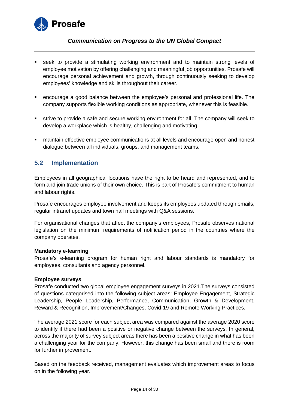

- seek to provide a stimulating working environment and to maintain strong levels of employee motivation by offering challenging and meaningful job opportunities. Prosafe will encourage personal achievement and growth, through continuously seeking to develop employees' knowledge and skills throughout their career.
- encourage a good balance between the employee's personal and professional life. The company supports flexible working conditions as appropriate, whenever this is feasible.
- strive to provide a safe and secure working environment for all. The company will seek to develop a workplace which is healthy, challenging and motivating.
- maintain effective employee communications at all levels and encourage open and honest dialogue between all individuals, groups, and management teams.

## <span id="page-13-0"></span>**5.2 Implementation**

Employees in all geographical locations have the right to be heard and represented, and to form and join trade unions of their own choice. This is part of Prosafe's commitment to human and labour rights.

Prosafe encourages employee involvement and keeps its employees updated through emails, regular intranet updates and town hall meetings with Q&A sessions.

For organisational changes that affect the company's employees, Prosafe observes national legislation on the minimum requirements of notification period in the countries where the company operates.

## **Mandatory e-learning**

Prosafe's e-learning program for human right and labour standards is mandatory for employees, consultants and agency personnel.

## **Employee surveys**

Prosafe conducted two global employee engagement surveys in 2021.The surveys consisted of questions categorised into the following subject areas: Employee Engagement, Strategic Leadership, People Leadership, Performance, Communication, Growth & Development, Reward & Recognition, Improvement/Changes, Covid-19 and Remote Working Practices.

The average 2021 score for each subject area was compared against the average 2020 score to identify if there had been a positive or negative change between the surveys. In general, across the majority of survey subject areas there has been a positive change in what has been a challenging year for the company. However, this change has been small and there is room for further improvement.

Based on the feedback received, management evaluates which improvement areas to focus on in the following year.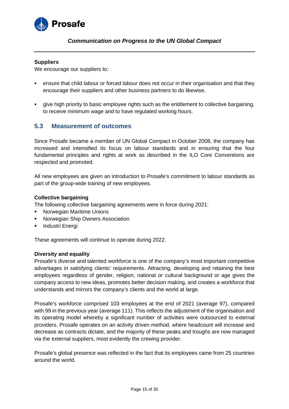

#### **Suppliers**

We encourage our suppliers to:

- ensure that child labour or forced labour does not occur in their organisation and that they encourage their suppliers and other business partners to do likewise.
- give high priority to basic employee rights such as the entitlement to collective bargaining, to receive minimum wage and to have regulated working hours.

## <span id="page-14-0"></span>**5.3 Measurement of outcomes**

Since Prosafe became a member of UN Global Compact in October 2008, the company has increased and intensified its focus on labour standards and in ensuring that the four fundamental principles and rights at work as described in the ILO Core Conventions are respected and promoted.

All new employees are given an introduction to Prosafe's commitment to labour standards as part of the group-wide training of new employees.

## **Collective bargaining**

The following collective bargaining agreements were in force during 2021:

- Norwegian Maritime Unions
- Norwegian Ship Owners Association
- Industri Energi

These agreements will continue to operate during 2022.

#### **Diversity and equality**

Prosafe's diverse and talented workforce is one of the company's most important competitive advantages in satisfying clients' requirements. Attracting, developing and retaining the best employees regardless of gender, religion, national or cultural background or age gives the company access to new ideas, promotes better decision making, and creates a workforce that understands and mirrors the company's clients and the world at large.

Prosafe's workforce comprised 103 employees at the end of 2021 (average 97), compared with 99 in the previous year (average 111). This reflects the adjustment of the organisation and its operating model whereby a significant number of activities were outsourced to external providers. Prosafe operates on an activity driven method, where headcount will increase and decrease as contracts dictate, and the majority of these peaks and troughs are now managed via the external suppliers, most evidently the crewing provider.

Prosafe's global presence was reflected in the fact that its employees came from 25 countries around the world.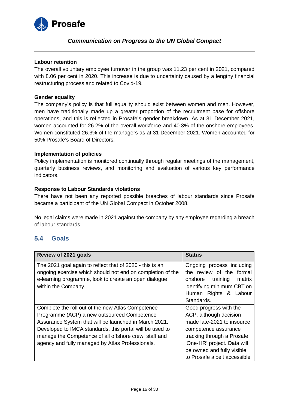

#### **Labour retention**

The overall voluntary employee turnover in the group was 11.23 per cent in 2021, compared with 8.06 per cent in 2020. This increase is due to uncertainty caused by a lengthy financial restructuring process and related to Covid-19.

#### **Gender equality**

The company's policy is that full equality should exist between women and men. However, men have traditionally made up a greater proportion of the recruitment base for offshore operations, and this is reflected in Prosafe's gender breakdown. As at 31 December 2021, women accounted for 26.2% of the overall workforce and 40.3% of the onshore employees. Women constituted 26.3% of the managers as at 31 December 2021. Women accounted for 50% Prosafe's Board of Directors.

#### **Implementation of policies**

Policy implementation is monitored continually through regular meetings of the management, quarterly business reviews, and monitoring and evaluation of various key performance indicators.

#### **Response to Labour Standards violations**

There have not been any reported possible breaches of labour standards since Prosafe became a participant of the UN Global Compact in October 2008.

No legal claims were made in 2021 against the company by any employee regarding a breach of labour standards.

## <span id="page-15-0"></span>**5.4 Goals**

| Review of 2021 goals                                       | <b>Status</b>                 |
|------------------------------------------------------------|-------------------------------|
| The 2021 goal again to reflect that of 2020 - this is an   | Ongoing process including     |
| ongoing exercise which should not end on completion of the | the review of the formal      |
| e-learning programme, look to create an open dialogue      | training<br>matrix<br>onshore |
| within the Company.                                        | identifying minimum CBT on    |
|                                                            | Human Rights & Labour         |
|                                                            | Standards.                    |
| Complete the roll out of the new Atlas Competence          | Good progress with the        |
| Programme (ACP) a new outsourced Competence                | ACP, although decision        |
| Assurance System that will be launched in March 2021.      | made late-2021 to insource    |
| Developed to IMCA standards, this portal will be used to   | competence assurance          |
| manage the Competence of all offshore crew, staff and      | tracking through a Prosafe    |
| agency and fully managed by Atlas Professionals.           | 'One-HR' project. Data will   |
|                                                            | be owned and fully visible    |
|                                                            | to Prosafe albeit accessible  |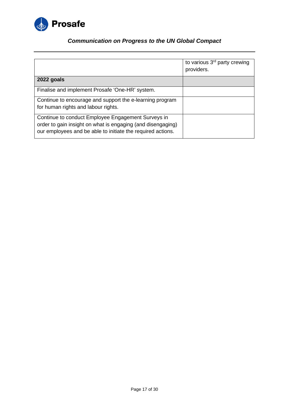

|                                                                                                                                                                                  | to various 3 <sup>rd</sup> party crewing<br>providers. |
|----------------------------------------------------------------------------------------------------------------------------------------------------------------------------------|--------------------------------------------------------|
| 2022 goals                                                                                                                                                                       |                                                        |
| Finalise and implement Prosafe 'One-HR' system.                                                                                                                                  |                                                        |
| Continue to encourage and support the e-learning program<br>for human rights and labour rights.                                                                                  |                                                        |
| Continue to conduct Employee Engagement Surveys in<br>order to gain insight on what is engaging (and disengaging)<br>our employees and be able to initiate the required actions. |                                                        |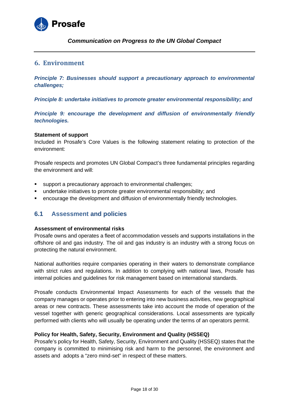

## <span id="page-17-0"></span>**6. Environment**

*Principle 7: Businesses should support a precautionary approach to environmental challenges;*

*Principle 8: undertake initiatives to promote greater environmental responsibility; and* 

*Principle 9: encourage the development and diffusion of environmentally friendly technologies.*

#### **Statement of support**

Included in Prosafe's Core Values is the following statement relating to protection of the environment:

Prosafe respects and promotes UN Global Compact's three fundamental principles regarding the environment and will:

- support a precautionary approach to environmental challenges;
- undertake initiatives to promote greater environmental responsibility; and
- encourage the development and diffusion of environmentally friendly technologies.

## <span id="page-17-1"></span>**6.1 Assessment and policies**

#### **Assessment of environmental risks**

Prosafe owns and operates a fleet of accommodation vessels and supports installations in the offshore oil and gas industry. The oil and gas industry is an industry with a strong focus on protecting the natural environment.

National authorities require companies operating in their waters to demonstrate compliance with strict rules and regulations. In addition to complying with national laws, Prosafe has internal policies and guidelines for risk management based on international standards.

Prosafe conducts Environmental Impact Assessments for each of the vessels that the company manages or operates prior to entering into new business activities, new geographical areas or new contracts. These assessments take into account the mode of operation of the vessel together with generic geographical considerations. Local assessments are typically performed with clients who will usually be operating under the terms of an operators permit.

## **Policy for Health, Safety, Security, Environment and Quality (HSSEQ)**

Prosafe's policy for Health, Safety, Security, Environment and Quality (HSSEQ) states that the company is committed to minimising risk and harm to the personnel, the environment and assets and adopts a "zero mind-set" in respect of these matters.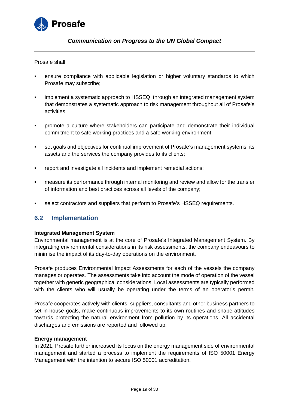

Prosafe shall:

- ensure compliance with applicable legislation or higher voluntary standards to which Prosafe may subscribe;
- implement a systematic approach to HSSEQ through an integrated management system that demonstrates a systematic approach to risk management throughout all of Prosafe's activities;
- promote a culture where stakeholders can participate and demonstrate their individual commitment to safe working practices and a safe working environment;
- set goals and objectives for continual improvement of Prosafe's management systems, its assets and the services the company provides to its clients;
- report and investigate all incidents and implement remedial actions;
- measure its performance through internal monitoring and review and allow for the transfer of information and best practices across all levels of the company;
- select contractors and suppliers that perform to Prosafe's HSSEQ requirements.

## <span id="page-18-0"></span>**6.2 Implementation**

## **Integrated Management System**

Environmental management is at the core of Prosafe's Integrated Management System. By integrating environmental considerations in its risk assessments, the company endeavours to minimise the impact of its day-to-day operations on the environment.

Prosafe produces Environmental Impact Assessments for each of the vessels the company manages or operates. The assessments take into account the mode of operation of the vessel together with generic geographical considerations. Local assessments are typically performed with the clients who will usually be operating under the terms of an operator's permit.

Prosafe cooperates actively with clients, suppliers, consultants and other business partners to set in-house goals, make continuous improvements to its own routines and shape attitudes towards protecting the natural environment from pollution by its operations. All accidental discharges and emissions are reported and followed up.

## **Energy management**

In 2021, Prosafe further increased its focus on the energy management side of environmental management and started a process to implement the requirements of ISO 50001 Energy Management with the intention to secure ISO 50001 accreditation.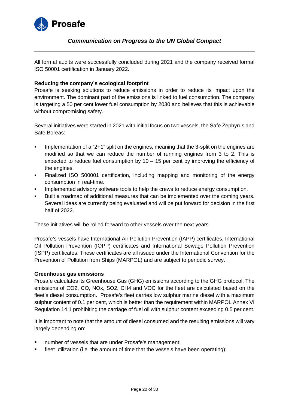

All formal audits were successfully concluded during 2021 and the company received formal ISO 50001 certification in January 2022.

## **Reducing the company's ecological footprint**

Prosafe is seeking solutions to reduce emissions in order to reduce its impact upon the environment. The dominant part of the emissions is linked to fuel consumption. The company is targeting a 50 per cent lower fuel consumption by 2030 and believes that this is achievable without compromising safety.

Several initiatives were started in 2021 with initial focus on two vessels, the Safe Zephyrus and Safe Boreas:

- Implementation of a "2+1" split on the engines, meaning that the 3-split on the engines are modified so that we can reduce the number of running engines from 3 to 2. This is expected to reduce fuel consumption by  $10 - 15$  per cent by improving the efficiency of the engines.
- Finalized ISO 500001 certification, including mapping and monitoring of the energy consumption in real-time.
- **IMPLEMENTED EXAGGE IMMOGE THE CONST THE CONST THE CONST** Implemented advisory software tools to help the crews to reduce energy consumption.
- Built a roadmap of additional measures that can be implemented over the coming years. Several ideas are currently being evaluated and will be put forward for decision in the first half of 2022.

These initiatives will be rolled forward to other vessels over the next years.

Prosafe's vessels have International Air Pollution Prevention (IAPP) certificates, International Oil Pollution Prevention (IOPP) certificates and International Sewage Pollution Prevention (ISPP) certificates. These certificates are all issued under the International Convention for the Prevention of Pollution from Ships (MARPOL) and are subject to periodic survey.

#### **Greenhouse gas emissions**

Prosafe calculates its Greenhouse Gas (GHG) emissions according to the GHG protocol. The emissions of CO2, CO, NOx, SO2, CH4 and VOC for the fleet are calculated based on the fleet's diesel consumption. Prosafe's fleet carries low sulphur marine diesel with a maximum sulphur content of 0.1 per cent, which is better than the requirement within MARPOL Annex VI Regulation 14.1 prohibiting the carriage of fuel oil with sulphur content exceeding 0.5 per cent.

It is important to note that the amount of diesel consumed and the resulting emissions will vary largely depending on:

- number of vessels that are under Prosafe's management;
- fleet utilization (i.e. the amount of time that the vessels have been operating);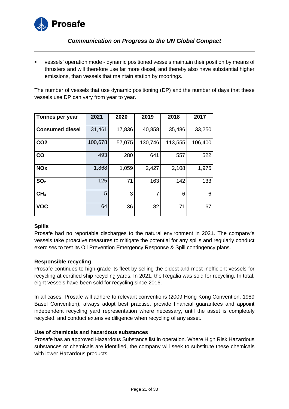

 vessels' operation mode - dynamic positioned vessels maintain their position by means of thrusters and will therefore use far more diesel, and thereby also have substantial higher emissions, than vessels that maintain station by moorings.

The number of vessels that use dynamic positioning (DP) and the number of days that these vessels use DP can vary from year to year.

| Tonnes per year        | 2021    | 2020   | 2019    | 2018    | 2017    |
|------------------------|---------|--------|---------|---------|---------|
| <b>Consumed diesel</b> | 31,461  | 17,836 | 40,858  | 35,486  | 33,250  |
| CO <sub>2</sub>        | 100,678 | 57,075 | 130,746 | 113,555 | 106,400 |
| CO                     | 493     | 280    | 641     | 557     | 522     |
| <b>NOx</b>             | 1,868   | 1,059  | 2,427   | 2,108   | 1,975   |
| SO <sub>2</sub>        | 125     | 71     | 163     | 142     | 133     |
| CH <sub>4</sub>        | 5       | 3      | 7       | 6       | 6       |
| <b>VOC</b>             | 64      | 36     | 82      | 71      | 67      |

## **Spills**

Prosafe had no reportable discharges to the natural environment in 2021. The company's vessels take proactive measures to mitigate the potential for any spills and regularly conduct exercises to test its Oil Prevention Emergency Response & Spill contingency plans.

## **Responsible recycling**

Prosafe continues to high-grade its fleet by selling the oldest and most inefficient vessels for recycling at certified ship recycling yards. In 2021, the Regalia was sold for recycling. In total, eight vessels have been sold for recycling since 2016.

In all cases, Prosafe will adhere to relevant conventions (2009 Hong Kong Convention, 1989 Basel Convention), always adopt best practise, provide financial guarantees and appoint independent recycling yard representation where necessary, until the asset is completely recycled, and conduct extensive diligence when recycling of any asset.

## **Use of chemicals and hazardous substances**

Prosafe has an approved Hazardous Substance list in operation. Where High Risk Hazardous substances or chemicals are identified, the company will seek to substitute these chemicals with lower Hazardous products.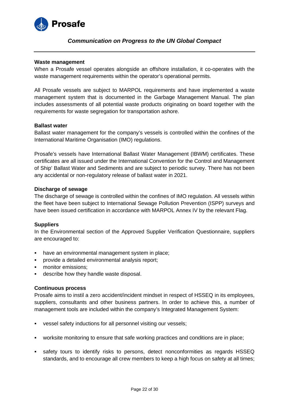

#### **Waste management**

When a Prosafe vessel operates alongside an offshore installation, it co-operates with the waste management requirements within the operator's operational permits.

All Prosafe vessels are subject to MARPOL requirements and have implemented a waste management system that is documented in the Garbage Management Manual. The plan includes assessments of all potential waste products originating on board together with the requirements for waste segregation for transportation ashore.

#### **Ballast water**

Ballast water management for the company's vessels is controlled within the confines of the International Maritime Organisation (IMO) regulations.

Prosafe's vessels have International Ballast Water Management (IBWM) certificates. These certificates are all issued under the International Convention for the Control and Management of Ship' Ballast Water and Sediments and are subject to periodic survey. There has not been any accidental or non-regulatory release of ballast water in 2021.

#### **Discharge of sewage**

The discharge of sewage is controlled within the confines of IMO regulation. All vessels within the fleet have been subject to International Sewage Pollution Prevention (ISPP) surveys and have been issued certification in accordance with MARPOL Annex IV by the relevant Flag.

## **Suppliers**

In the Environmental section of the Approved Supplier Verification Questionnaire, suppliers are encouraged to:

- have an environmental management system in place:
- provide a detailed environmental analysis report;
- monitor emissions;
- describe how they handle waste disposal.

## **Continuous process**

Prosafe aims to instil a zero accident/incident mindset in respect of HSSEQ in its employees, suppliers, consultants and other business partners. In order to achieve this, a number of management tools are included within the company's Integrated Management System:

- vessel safety inductions for all personnel visiting our vessels;
- worksite monitoring to ensure that safe working practices and conditions are in place;
- safety tours to identify risks to persons, detect nonconformities as regards HSSEQ standards, and to encourage all crew members to keep a high focus on safety at all times;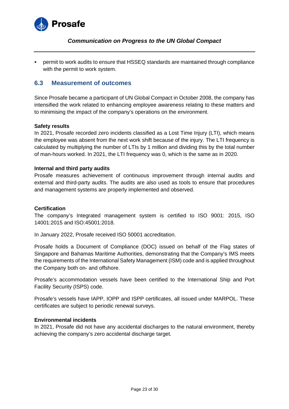

 permit to work audits to ensure that HSSEQ standards are maintained through compliance with the permit to work system.

## <span id="page-22-0"></span>**6.3 Measurement of outcomes**

Since Prosafe became a participant of UN Global Compact in October 2008, the company has intensified the work related to enhancing employee awareness relating to these matters and to minimising the impact of the company's operations on the environment.

## **Safety results**

In 2021, Prosafe recorded zero incidents classified as a Lost Time Injury (LTI), which means the employee was absent from the next work shift because of the injury. The LTI frequency is calculated by multiplying the number of LTIs by 1 million and dividing this by the total number of man-hours worked. In 2021, the LTI frequency was 0, which is the same as in 2020.

#### **Internal and third party audits**

Prosafe measures achievement of continuous improvement through internal audits and external and third-party audits. The audits are also used as tools to ensure that procedures and management systems are properly implemented and observed.

#### **Certification**

The company's Integrated management system is certified to ISO 9001: 2015, ISO 14001:2015 and ISO:45001:2018.

In January 2022, Prosafe received ISO 50001 accreditation.

Prosafe holds a Document of Compliance (DOC) issued on behalf of the Flag states of Singapore and Bahamas Maritime Authorities, demonstrating that the Company's IMS meets the requirements of the International Safety Management (ISM) code and is applied throughout the Company both on- and offshore.

Prosafe's accommodation vessels have been certified to the International Ship and Port Facility Security (ISPS) code.

Prosafe's vessels have IAPP, IOPP and ISPP certificates, all issued under MARPOL. These certificates are subject to periodic renewal surveys.

## **Environmental incidents**

In 2021, Prosafe did not have any accidental discharges to the natural environment, thereby achieving the company's zero accidental discharge target.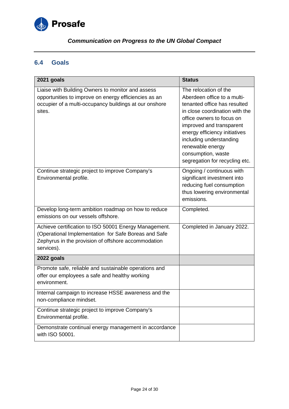

## <span id="page-23-0"></span>**6.4 Goals**

| 2021 goals                                                                                                                                                                         | <b>Status</b>                                                                                                                                                                                                                                                                                                           |
|------------------------------------------------------------------------------------------------------------------------------------------------------------------------------------|-------------------------------------------------------------------------------------------------------------------------------------------------------------------------------------------------------------------------------------------------------------------------------------------------------------------------|
| Liaise with Building Owners to monitor and assess<br>opportunities to improve on energy efficiencies as an<br>occupier of a multi-occupancy buildings at our onshore<br>sites.     | The relocation of the<br>Aberdeen office to a multi-<br>tenanted office has resulted<br>in close coordination with the<br>office owners to focus on<br>improved and transparent<br>energy efficiency initiatives<br>including understanding<br>renewable energy<br>consumption, waste<br>segregation for recycling etc. |
| Continue strategic project to improve Company's<br>Environmental profile.                                                                                                          | Ongoing / continuous with<br>significant investment into<br>reducing fuel consumption<br>thus lowering environmental<br>emissions.                                                                                                                                                                                      |
| Develop long-term ambition roadmap on how to reduce<br>emissions on our vessels offshore.                                                                                          | Completed.                                                                                                                                                                                                                                                                                                              |
| Achieve certification to ISO 50001 Energy Management.<br>(Operational Implementation for Safe Boreas and Safe<br>Zephyrus in the provision of offshore accommodation<br>services). | Completed in January 2022.                                                                                                                                                                                                                                                                                              |
| 2022 goals                                                                                                                                                                         |                                                                                                                                                                                                                                                                                                                         |
| Promote safe, reliable and sustainable operations and<br>offer our employees a safe and healthy working<br>environment.                                                            |                                                                                                                                                                                                                                                                                                                         |
| Internal campaign to increase HSSE awareness and the<br>non-compliance mindset.                                                                                                    |                                                                                                                                                                                                                                                                                                                         |
| Continue strategic project to improve Company's<br>Environmental profile.                                                                                                          |                                                                                                                                                                                                                                                                                                                         |
| Demonstrate continual energy management in accordance<br>with ISO 50001.                                                                                                           |                                                                                                                                                                                                                                                                                                                         |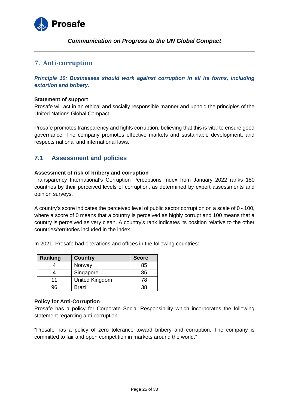

## <span id="page-24-0"></span>**7. Anti-corruption**

*Principle 10: Businesses should work against corruption in all its forms, including extortion and bribery.*

#### **Statement of support**

Prosafe will act in an ethical and socially responsible manner and uphold the principles of the United Nations Global Compact.

Prosafe promotes transparency and fights corruption, believing that this is vital to ensure good governance. The company promotes effective markets and sustainable development, and respects national and international laws.

## <span id="page-24-1"></span>**7.1 Assessment and policies**

## **Assessment of risk of bribery and corruption**

Transparency International's Corruption Perceptions Index from January 2022 ranks 180 countries by their perceived levels of corruption, as determined by expert assessments and opinion surveys.

A country's score indicates the perceived level of public sector corruption on a scale of 0 - 100, where a score of 0 means that a country is perceived as highly corrupt and 100 means that a country is perceived as very clean. A country's rank indicates its position relative to the other countries/territories included in the index.

In 2021, Prosafe had operations and offices in the following countries:

| Ranking | <b>Country</b> | <b>Score</b> |
|---------|----------------|--------------|
|         | Norway         | 85           |
|         | Singapore      | 85           |
| 11      | United Kingdom | 78           |
| 96      | <b>Brazil</b>  | 38.          |

#### **Policy for Anti-Corruption**

Prosafe has a policy for Corporate Social Responsibility which incorporates the following statement regarding anti-corruption:

"Prosafe has a policy of zero tolerance toward bribery and corruption. The company is committed to fair and open competition in markets around the world."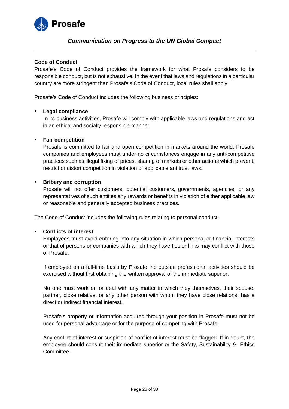

## **Code of Conduct**

Prosafe's Code of Conduct provides the framework for what Prosafe considers to be responsible conduct, but is not exhaustive. In the event that laws and regulations in a particular country are more stringent than Prosafe's Code of Conduct, local rules shall apply.

#### Prosafe's Code of Conduct includes the following business principles:

#### **Legal compliance**

In its business activities, Prosafe will comply with applicable laws and regulations and act in an ethical and socially responsible manner.

#### **Fair competition**

Prosafe is committed to fair and open competition in markets around the world. Prosafe companies and employees must under no circumstances engage in any anti-competitive practices such as illegal fixing of prices, sharing of markets or other actions which prevent, restrict or distort competition in violation of applicable antitrust laws.

#### **Bribery and corruption**

Prosafe will not offer customers, potential customers, governments, agencies, or any representatives of such entities any rewards or benefits in violation of either applicable law or reasonable and generally accepted business practices.

#### The Code of Conduct includes the following rules relating to personal conduct:

#### **Conflicts of interest**

Employees must avoid entering into any situation in which personal or financial interests or that of persons or companies with which they have ties or links may conflict with those of Prosafe.

If employed on a full-time basis by Prosafe, no outside professional activities should be exercised without first obtaining the written approval of the immediate superior.

No one must work on or deal with any matter in which they themselves, their spouse, partner, close relative, or any other person with whom they have close relations, has a direct or indirect financial interest.

Prosafe's property or information acquired through your position in Prosafe must not be used for personal advantage or for the purpose of competing with Prosafe.

Any conflict of interest or suspicion of conflict of interest must be flagged. If in doubt, the employee should consult their immediate superior or the Safety, Sustainability & Ethics Committee.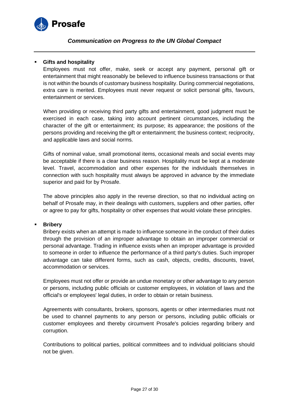

## **Gifts and hospitality**

Employees must not offer, make, seek or accept any payment, personal gift or entertainment that might reasonably be believed to influence business transactions or that is not within the bounds of customary business hospitality. During commercial negotiations, extra care is merited. Employees must never request or solicit personal gifts, favours, entertainment or services.

When providing or receiving third party gifts and entertainment, good judgment must be exercised in each case, taking into account pertinent circumstances, including the character of the gift or entertainment; its purpose; its appearance; the positions of the persons providing and receiving the gift or entertainment; the business context; reciprocity, and applicable laws and social norms.

Gifts of nominal value, small promotional items, occasional meals and social events may be acceptable if there is a clear business reason. Hospitality must be kept at a moderate level. Travel, accommodation and other expenses for the individuals themselves in connection with such hospitality must always be approved in advance by the immediate superior and paid for by Prosafe.

The above principles also apply in the reverse direction, so that no individual acting on behalf of Prosafe may, in their dealings with customers, suppliers and other parties, offer or agree to pay for gifts, hospitality or other expenses that would violate these principles.

#### **Bribery**

Bribery exists when an attempt is made to influence someone in the conduct of their duties through the provision of an improper advantage to obtain an improper commercial or personal advantage. Trading in influence exists when an improper advantage is provided to someone in order to influence the performance of a third party's duties. Such improper advantage can take different forms, such as cash, objects, credits, discounts, travel, accommodation or services.

Employees must not offer or provide an undue monetary or other advantage to any person or persons, including public officials or customer employees, in violation of laws and the official's or employees' legal duties, in order to obtain or retain business.

Agreements with consultants, brokers, sponsors, agents or other intermediaries must not be used to channel payments to any person or persons, including public officials or customer employees and thereby circumvent Prosafe's policies regarding bribery and corruption.

Contributions to political parties, political committees and to individual politicians should not be given.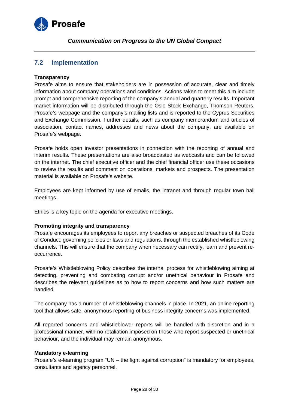

## <span id="page-27-0"></span>**7.2 Implementation**

## **Transparency**

Prosafe aims to ensure that stakeholders are in possession of accurate, clear and timely information about company operations and conditions. Actions taken to meet this aim include prompt and comprehensive reporting of the company's annual and quarterly results. Important market information will be distributed through the Oslo Stock Exchange, Thomson Reuters, Prosafe's webpage and the company's mailing lists and is reported to the Cyprus Securities and Exchange Commission. Further details, such as company memorandum and articles of association, contact names, addresses and news about the company, are available on Prosafe's webpage.

Prosafe holds open investor presentations in connection with the reporting of annual and interim results. These presentations are also broadcasted as webcasts and can be followed on the internet. The chief executive officer and the chief financial officer use these occasions to review the results and comment on operations, markets and prospects. The presentation material is available on Prosafe's website.

Employees are kept informed by use of emails, the intranet and through regular town hall meetings.

Ethics is a key topic on the agenda for executive meetings.

## **Promoting integrity and transparency**

Prosafe encourages its employees to report any breaches or suspected breaches of its Code of Conduct, governing policies or laws and regulations. through the established whistleblowing channels. This will ensure that the company when necessary can rectify, learn and prevent reoccurrence.

Prosafe's Whistleblowing Policy describes the internal process for whistleblowing aiming at detecting, preventing and combating corrupt and/or unethical behaviour in Prosafe and describes the relevant guidelines as to how to report concerns and how such matters are handled.

The company has a number of whistleblowing channels in place. In 2021, an online reporting tool that allows safe, anonymous reporting of business integrity concerns was implemented.

All reported concerns and whistleblower reports will be handled with discretion and in a professional manner, with no retaliation imposed on those who report suspected or unethical behaviour, and the individual may remain anonymous.

#### **Mandatory e-learning**

Prosafe's e-learning program "UN – the fight against corruption" is mandatory for employees, consultants and agency personnel.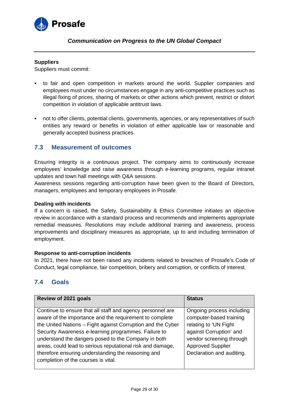

#### **Suppliers**

Suppliers must commit:

- to fair and open competition in markets around the world. Supplier companies and employees must under no circumstances engage in any anti-competitive practices such as illegal fixing of prices, sharing of markets or other actions which prevent, restrict or distort competition in violation of applicable antitrust laws.
- not to offer clients, potential clients, governments, agencies, or any representatives of such entities any reward or benefits in violation of either applicable law or reasonable and generally accepted business practices.

## <span id="page-28-0"></span>**7.3 Measurement of outcomes**

Ensuring integrity is a continuous project. The company aims to continuously increase employees' knowledge and raise awareness through e-learning programs, regular intranet updates and town hall meetings with Q&A sessions.

Awareness sessions regarding anti-corruption have been given to the Board of Directors, managers, employees and temporary employees in Prosafe.

#### **Dealing with incidents**

If a concern is raised, the Safety, Sustainability & Ethics Committee initiates an objective review in accordance with a standard process and recommends and implements appropriate remedial measures. Resolutions may include additional training and awareness, process improvements and disciplinary measures as appropriate, up to and including termination of employment.

## **Response to anti-corruption incidents**

In 2021, there have not been raised any incidents related to breaches of Prosafe's Code of Conduct, legal compliance, fair competition, bribery and corruption, or conflicts of interest.

## <span id="page-28-1"></span>**7.4 Goals**

| Review of 2021 goals                                                                                                                                                                                                                                                                                                                                                                                                                                           | <b>Status</b>                                                                                                                                                                                 |
|----------------------------------------------------------------------------------------------------------------------------------------------------------------------------------------------------------------------------------------------------------------------------------------------------------------------------------------------------------------------------------------------------------------------------------------------------------------|-----------------------------------------------------------------------------------------------------------------------------------------------------------------------------------------------|
| Continue to ensure that all staff and agency personnel are<br>aware of the importance and the requirement to complete<br>the United Nations - Fight against Corruption and the Cyber<br>Security Awareness e-learning programmes. Failure to<br>understand the dangers posed to the Company in both<br>areas, could lead to serious reputational risk and damage,<br>therefore ensuring understanding the reasoning and<br>completion of the courses is vital. | Ongoing process including<br>computer-based training<br>relating to 'UN Fight<br>against Corruption' and<br>vendor screening through<br><b>Approved Supplier</b><br>Declaration and auditing. |